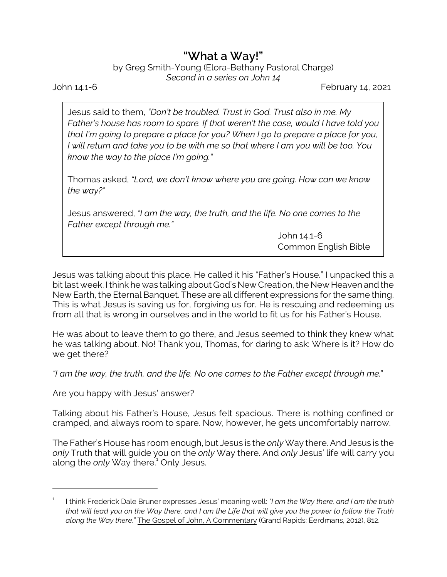## **"What a Way!"**

by Greg Smith-Young (Elora-Bethany Pastoral Charge) *Second in a series on John 14*

John 14.1-6 February 14, 2021

Jesus said to them, *"Don't be troubled. Trust in God. Trust also in me. My Father's house has room to spare. If that weren't the case, would I have told you that I'm going to prepare a place for you? When I go to prepare a place for you, I will return and take you to be with me so that where I am you will be too. You know the way to the place I'm going."*

Thomas asked, *"Lord, we don't know where you are going. How can we know the way?"*

Jesus answered, *"I am the way, the truth, and the life. No one comes to the Father except through me."*

> John 14.1-6 Common English Bible

Jesus was talking about this place. He called it his "Father's House." I unpacked this a bit last week. I think he was talking about God's New Creation, the New Heaven and the New Earth, the Eternal Banquet. These are all different expressions for the same thing. This is what Jesus is saving us for, forgiving us for. He is rescuing and redeeming us from all that is wrong in ourselves and in the world to fit us for his Father's House.

He was about to leave them to go there, and Jesus seemed to think they knew what he was talking about. No! Thank you, Thomas, for daring to ask: Where is it? How do we get there?

*"I am the way, the truth, and the life. No one comes to the Father except through me.*"

Are you happy with Jesus' answer?

Talking about his Father's House, Jesus felt spacious. There is nothing confined or cramped, and always room to spare. Now, however, he gets uncomfortably narrow.

The Father's House has room enough, but Jesus is the *only* Way there. And Jesus is the *only* Truth that will guide you on the *only* Way there. And *only* Jesus' life will carry you along the *only* Way there.<sup>1</sup> Only Jesus.

<sup>1</sup> I think Frederick Dale Bruner expresses Jesus' meaning well: *"I am the Way there, and I am the truth that will lead you on the Way there, and I am the Life that will give you the power to follow the Truth along the Way there."* The Gospel of John, A Commentary (Grand Rapids: Eerdmans, 2012), 812.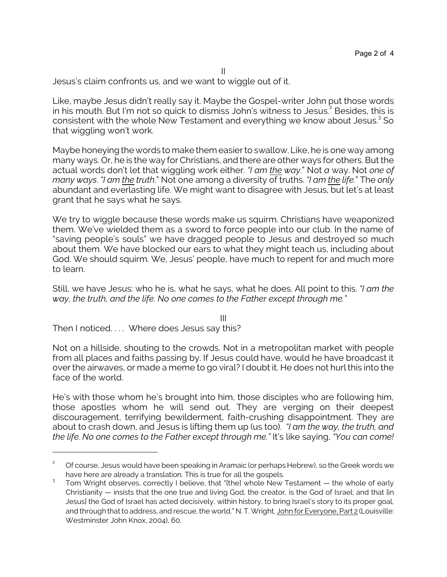II

Jesus's claim confronts us, and we want to wiggle out of it.

Like, maybe Jesus didn't really say it. Maybe the Gospel-writer John put those words in his mouth. But I'm not so quick to dismiss John's witness to Jesus. 2 Besides, this is consistent with the whole New Testament and everything we know about Jesus.<sup>3</sup> So that wiggling won't work.

Maybe honeying the words to make them easier to swallow. Like, he is one way among many ways. Or, he is the way for Christians, and there are other ways for others. But the actual words don't let that wiggling work either. *"I am the way*." Not *a* way. Not *one of many ways*. *"I am the truth*." Not one among a diversity of truths. *"I am the life*." The *only* abundant and everlasting life. We might want to disagree with Jesus, but let's at least grant that he says what he says.

We try to wiggle because these words make us squirm. Christians have weaponized them. We've wielded them as a sword to force people into our club. In the name of "saving people's souls" we have dragged people to Jesus and destroyed so much about them. We have blocked our ears to what they might teach us, including about God. We should squirm. We, Jesus' people, have much to repent for and much more to learn.

Still, we have Jesus: who he is, what he says, what he does. All point to this. *"I am the way, the truth, and the life. No one comes to the Father except through me."*

III

Then I noticed. . . . Where does Jesus say this?

Not on a hillside, shouting to the crowds. Not in a metropolitan market with people from all places and faiths passing by. If Jesus could have, would he have broadcast it over the airwaves, or made a meme to go viral? I doubt it. He does not hurl this into the face of the world.

He's with those whom he's brought into him, those disciples who are following him, those apostles whom he will send out. They are verging on their deepest discouragement, terrifying bewilderment, faith-crushing disappointment. They are about to crash down, and Jesus is lifting them up (us too). *"I am the way, the truth, and the life. No one comes to the Father except through me."* It's like saying, *"You can come!*

<sup>&</sup>lt;sup>2</sup> Of course, Jesus would have been speaking in Aramaic (or perhaps Hebrew), so the Greek words we have here are already a translation. This is true for all the gospels.

<sup>3</sup> Tom Wright observes, correctly I believe, that "[the] whole New Testament — the whole of early Christianity — insists that the one true and living God, the creator, is the God of Israel; and that [in Jesus] the God of Israel has acted decisively, within history, to bring Israel's story to its proper goal, and through that to address, and rescue, the world." N. T. Wright, John for Everyone, Part 2 (Louisville: Westminster John Knox, 2004), 60.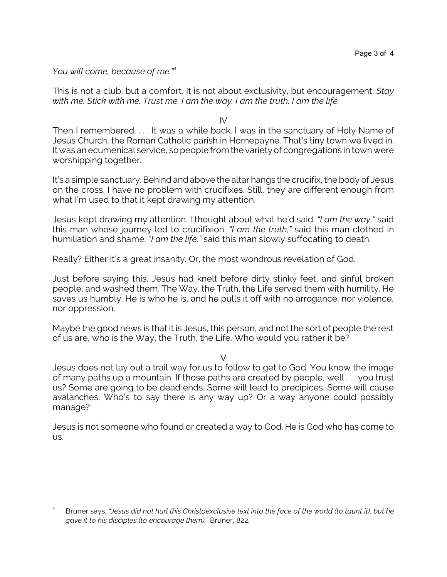*You will come, because of me."<sup>4</sup>*

This is not a club, but a comfort. It is not about exclusivity, but encouragement. *Stay with me. Stick with me. Trust me. I am the way. I am the truth. I am the life.*

IV

Then I remembered. . . . It was a while back. I was in the sanctuary of Holy Name of Jesus Church, the Roman Catholic parish in Hornepayne. That's tiny town we lived in. It was an ecumenical service, so people from the variety of congregations in town were worshipping together.

It's a simple sanctuary. Behind and above the altar hangs the crucifix, the body of Jesus on the cross. I have no problem with crucifixes. Still, they are different enough from what I'm used to that it kept drawing my attention.

Jesus kept drawing my attention. I thought about what he'd said. *"I am the way,"* said this man whose journey led to crucifixion. *"I am the truth,"* said this man clothed in humiliation and shame. *"I am the life,"* said this man slowly suffocating to death.

Really? Either it's a great insanity. Or, the most wondrous revelation of God.

Just before saying this, Jesus had knelt before dirty stinky feet, and sinful broken people, and washed them. The Way, the Truth, the Life served them with humility. He saves us humbly. He is who he is, and he pulls it off with no arrogance, nor violence, nor oppression.

Maybe the good news is that it is Jesus, this person, and not the sort of people the rest of us are, who is the Way, the Truth, the Life. Who would you rather it be?

 $\vee$ 

Jesus does not lay out a trail way for us to follow to get to God. You know the image of many paths up a mountain. If those paths are created by people, well . . . you trust us? Some are going to be dead ends. Some will lead to precipices. Some will cause avalanches. Who's to say there is any way up? Or a way anyone could possibly manage?

Jesus is not someone who found or created a way to God. He is God who has come to us.

<sup>4</sup> Bruner says, *"Jesus did not hurl this Christoexclusive text into the face of the world (to taunt it), but he gave it to his disciples (to encourage them)."* Bruner, 822.